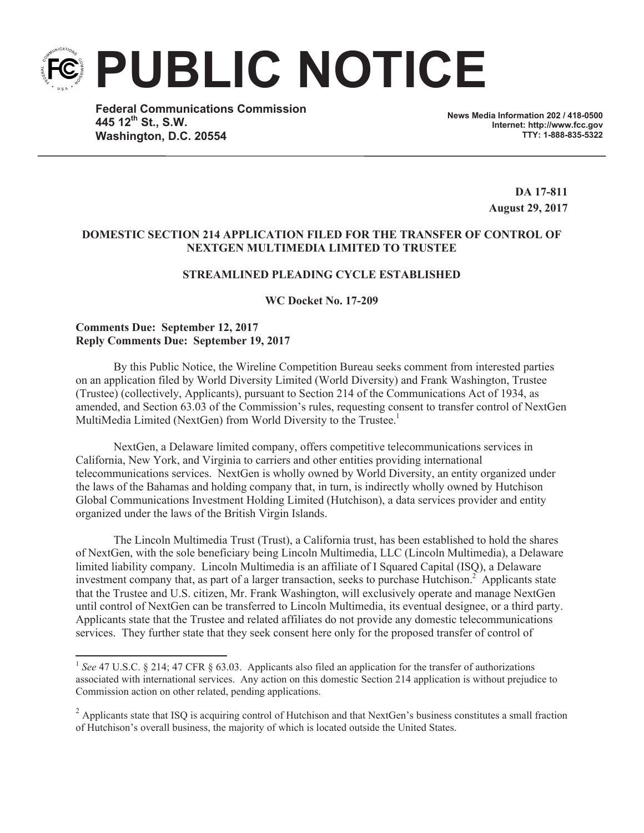**PUBLIC NOTICE**

**Federal Communications Commission 445 12th St., S.W. Washington, D.C. 20554**

**News Media Information 202 / 418-0500 Internet: http://www.fcc.gov TTY: 1-888-835-5322**

> **DA 17-811 August 29, 2017**

## **DOMESTIC SECTION 214 APPLICATION FILED FOR THE TRANSFER OF CONTROL OF NEXTGEN MULTIMEDIA LIMITED TO TRUSTEE**

# **STREAMLINED PLEADING CYCLE ESTABLISHED**

**WC Docket No. 17-209**

## **Comments Due: September 12, 2017 Reply Comments Due: September 19, 2017**

By this Public Notice, the Wireline Competition Bureau seeks comment from interested parties on an application filed by World Diversity Limited (World Diversity) and Frank Washington, Trustee (Trustee) (collectively, Applicants), pursuant to Section 214 of the Communications Act of 1934, as amended, and Section 63.03 of the Commission's rules, requesting consent to transfer control of NextGen MultiMedia Limited (NextGen) from World Diversity to the Trustee.<sup>1</sup>

NextGen, a Delaware limited company, offers competitive telecommunications services in California, New York, and Virginia to carriers and other entities providing international telecommunications services. NextGen is wholly owned by World Diversity, an entity organized under the laws of the Bahamas and holding company that, in turn, is indirectly wholly owned by Hutchison Global Communications Investment Holding Limited (Hutchison), a data services provider and entity organized under the laws of the British Virgin Islands.

The Lincoln Multimedia Trust (Trust), a California trust, has been established to hold the shares of NextGen, with the sole beneficiary being Lincoln Multimedia, LLC (Lincoln Multimedia), a Delaware limited liability company. Lincoln Multimedia is an affiliate of I Squared Capital (ISQ), a Delaware investment company that, as part of a larger transaction, seeks to purchase Hutchison.<sup>2</sup> Applicants state that the Trustee and U.S. citizen, Mr. Frank Washington, will exclusively operate and manage NextGen until control of NextGen can be transferred to Lincoln Multimedia, its eventual designee, or a third party. Applicants state that the Trustee and related affiliates do not provide any domestic telecommunications services. They further state that they seek consent here only for the proposed transfer of control of

<sup>&</sup>lt;sup>1</sup> See 47 U.S.C. § 214; 47 CFR § 63.03. Applicants also filed an application for the transfer of authorizations associated with international services. Any action on this domestic Section 214 application is without prejudice to Commission action on other related, pending applications.

 $2$  Applicants state that ISQ is acquiring control of Hutchison and that NextGen's business constitutes a small fraction of Hutchison's overall business, the majority of which is located outside the United States.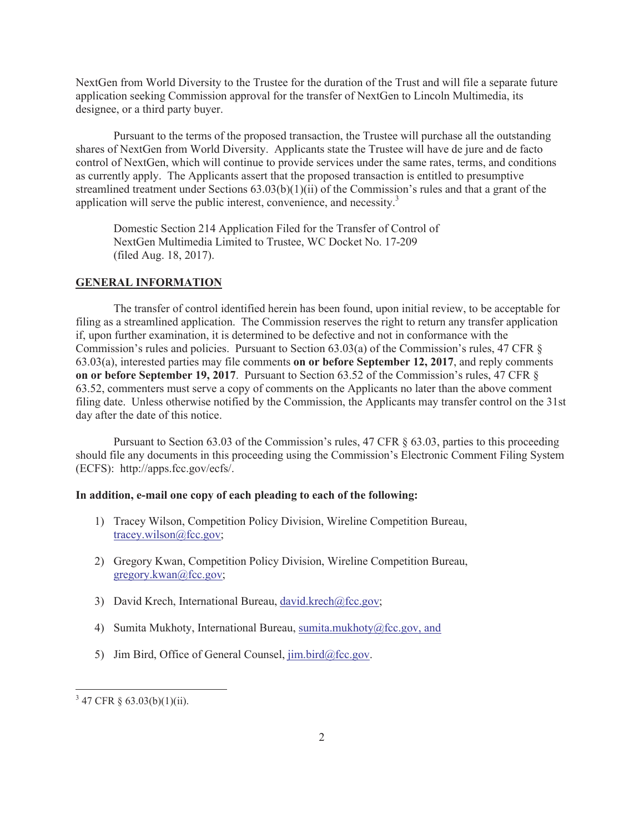NextGen from World Diversity to the Trustee for the duration of the Trust and will file a separate future application seeking Commission approval for the transfer of NextGen to Lincoln Multimedia, its designee, or a third party buyer.

Pursuant to the terms of the proposed transaction, the Trustee will purchase all the outstanding shares of NextGen from World Diversity. Applicants state the Trustee will have de jure and de facto control of NextGen, which will continue to provide services under the same rates, terms, and conditions as currently apply. The Applicants assert that the proposed transaction is entitled to presumptive streamlined treatment under Sections  $63.03(b)(1)(ii)$  of the Commission's rules and that a grant of the application will serve the public interest, convenience, and necessity.<sup>3</sup>

Domestic Section 214 Application Filed for the Transfer of Control of NextGen Multimedia Limited to Trustee, WC Docket No. 17-209 (filed Aug. 18, 2017).

#### **GENERAL INFORMATION**

The transfer of control identified herein has been found, upon initial review, to be acceptable for filing as a streamlined application. The Commission reserves the right to return any transfer application if, upon further examination, it is determined to be defective and not in conformance with the Commission's rules and policies. Pursuant to Section 63.03(a) of the Commission's rules, 47 CFR § 63.03(a), interested parties may file comments **on or before September 12, 2017**, and reply comments **on or before September 19, 2017**. Pursuant to Section 63.52 of the Commission's rules, 47 CFR § 63.52, commenters must serve a copy of comments on the Applicants no later than the above comment filing date. Unless otherwise notified by the Commission, the Applicants may transfer control on the 31st day after the date of this notice.

Pursuant to Section 63.03 of the Commission's rules, 47 CFR § 63.03, parties to this proceeding should file any documents in this proceeding using the Commission's Electronic Comment Filing System (ECFS): http://apps.fcc.gov/ecfs/.

#### **In addition, e-mail one copy of each pleading to each of the following:**

- 1) Tracey Wilson, Competition Policy Division, Wireline Competition Bureau, tracey.wilson@fcc.gov;
- 2) Gregory Kwan, Competition Policy Division, Wireline Competition Bureau, gregory.kwan@fcc.gov;
- 3) David Krech, International Bureau, david.krech@fcc.gov;
- 4) Sumita Mukhoty, International Bureau, sumita.mukhoty@fcc.gov, and
- 5) Jim Bird, Office of General Counsel, jim.bird@fcc.gov.

 $3\,$  47 CFR § 63.03(b)(1)(ii).